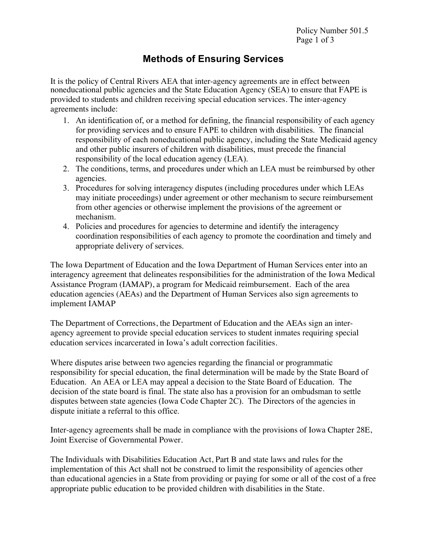## **Methods of Ensuring Services**

It is the policy of Central Rivers AEA that inter-agency agreements are in effect between noneducational public agencies and the State Education Agency (SEA) to ensure that FAPE is provided to students and children receiving special education services. The inter-agency agreements include:

- 1. An identification of, or a method for defining, the financial responsibility of each agency for providing services and to ensure FAPE to children with disabilities. The financial responsibility of each noneducational public agency, including the State Medicaid agency and other public insurers of children with disabilities, must precede the financial responsibility of the local education agency (LEA).
- 2. The conditions, terms, and procedures under which an LEA must be reimbursed by other agencies.
- 3. Procedures for solving interagency disputes (including procedures under which LEAs may initiate proceedings) under agreement or other mechanism to secure reimbursement from other agencies or otherwise implement the provisions of the agreement or mechanism.
- 4. Policies and procedures for agencies to determine and identify the interagency coordination responsibilities of each agency to promote the coordination and timely and appropriate delivery of services.

The Iowa Department of Education and the Iowa Department of Human Services enter into an interagency agreement that delineates responsibilities for the administration of the Iowa Medical Assistance Program (IAMAP), a program for Medicaid reimbursement. Each of the area education agencies (AEAs) and the Department of Human Services also sign agreements to implement IAMAP

The Department of Corrections, the Department of Education and the AEAs sign an interagency agreement to provide special education services to student inmates requiring special education services incarcerated in Iowa's adult correction facilities.

Where disputes arise between two agencies regarding the financial or programmatic responsibility for special education, the final determination will be made by the State Board of Education. An AEA or LEA may appeal a decision to the State Board of Education. The decision of the state board is final. The state also has a provision for an ombudsman to settle disputes between state agencies (Iowa Code Chapter 2C). The Directors of the agencies in dispute initiate a referral to this office.

Inter-agency agreements shall be made in compliance with the provisions of Iowa Chapter 28E, Joint Exercise of Governmental Power.

The Individuals with Disabilities Education Act, Part B and state laws and rules for the implementation of this Act shall not be construed to limit the responsibility of agencies other than educational agencies in a State from providing or paying for some or all of the cost of a free appropriate public education to be provided children with disabilities in the State.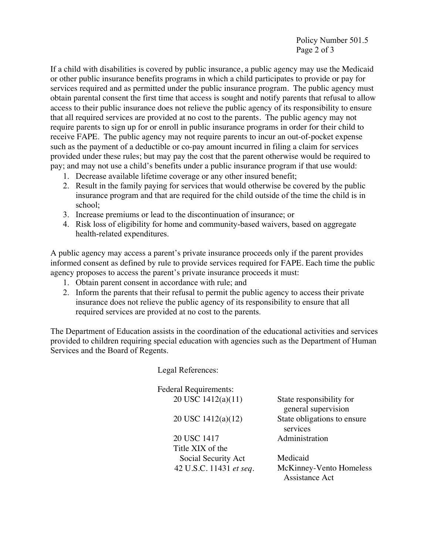Policy Number 501.5 Page 2 of 3

If a child with disabilities is covered by public insurance, a public agency may use the Medicaid or other public insurance benefits programs in which a child participates to provide or pay for services required and as permitted under the public insurance program. The public agency must obtain parental consent the first time that access is sought and notify parents that refusal to allow access to their public insurance does not relieve the public agency of its responsibility to ensure that all required services are provided at no cost to the parents. The public agency may not require parents to sign up for or enroll in public insurance programs in order for their child to receive FAPE. The public agency may not require parents to incur an out-of-pocket expense such as the payment of a deductible or co-pay amount incurred in filing a claim for services provided under these rules; but may pay the cost that the parent otherwise would be required to pay; and may not use a child's benefits under a public insurance program if that use would:

- 1. Decrease available lifetime coverage or any other insured benefit;
- 2. Result in the family paying for services that would otherwise be covered by the public insurance program and that are required for the child outside of the time the child is in school;
- 3. Increase premiums or lead to the discontinuation of insurance; or
- 4. Risk loss of eligibility for home and community-based waivers, based on aggregate health-related expenditures.

A public agency may access a parent's private insurance proceeds only if the parent provides informed consent as defined by rule to provide services required for FAPE. Each time the public agency proposes to access the parent's private insurance proceeds it must:

- 1. Obtain parent consent in accordance with rule; and
- 2. Inform the parents that their refusal to permit the public agency to access their private insurance does not relieve the public agency of its responsibility to ensure that all required services are provided at no cost to the parents.

The Department of Education assists in the coordination of the educational activities and services provided to children requiring special education with agencies such as the Department of Human Services and the Board of Regents.

Legal References:

Federal Requirements: 20 USC 1412(a)(11)

20 USC 1412(a)(12)

20 USC 1417 Title XIX of the Social Security Act State responsibility for general supervision State obligations to ensure services Administration

Medicaid 42 U.S.C. 11431 *et seq.* McKinney-Vento Homeless Assistance Act